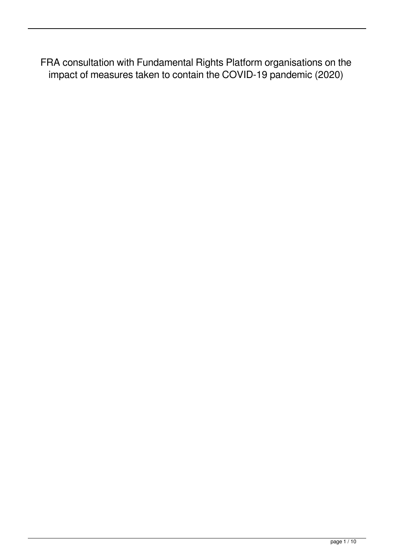FRA consultation with Fundamental Rights Platform organisations on the impact of measures taken to contain the COVID-19 pandemic (2020)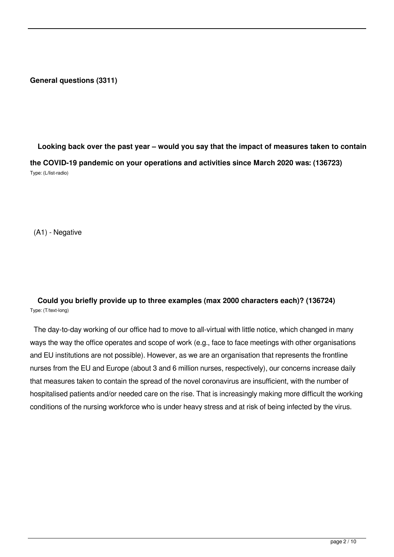#### **General questions (3311)**

 **Looking back over the past year – would you say that the impact of measures taken to contain the COVID-19 pandemic on your operations and activities since March 2020 was: (136723)** Type: (L/list-radio)

(A1) - Negative

## **Could you briefly provide up to three examples (max 2000 characters each)? (136724)** Type: (T/text-long)

 The day-to-day working of our office had to move to all-virtual with little notice, which changed in many ways the way the office operates and scope of work (e.g., face to face meetings with other organisations and EU institutions are not possible). However, as we are an organisation that represents the frontline nurses from the EU and Europe (about 3 and 6 million nurses, respectively), our concerns increase daily that measures taken to contain the spread of the novel coronavirus are insufficient, with the number of hospitalised patients and/or needed care on the rise. That is increasingly making more difficult the working conditions of the nursing workforce who is under heavy stress and at risk of being infected by the virus.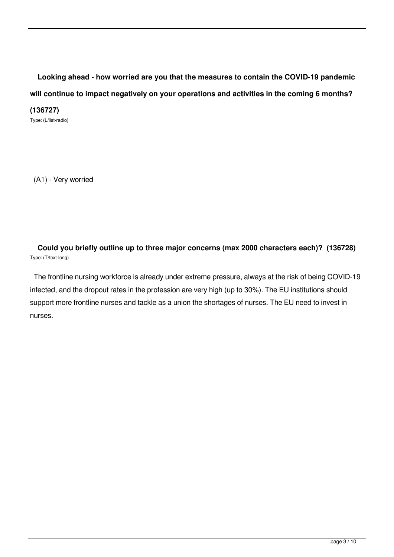**Looking ahead - how worried are you that the measures to contain the COVID-19 pandemic will continue to impact negatively on your operations and activities in the coming 6 months?**

**(136727)**

Type: (L/list-radio)

(A1) - Very worried

 **Could you briefly outline up to three major concerns (max 2000 characters each)? (136728)** Type: (T/text-long)

 The frontline nursing workforce is already under extreme pressure, always at the risk of being COVID-19 infected, and the dropout rates in the profession are very high (up to 30%). The EU institutions should support more frontline nurses and tackle as a union the shortages of nurses. The EU need to invest in nurses.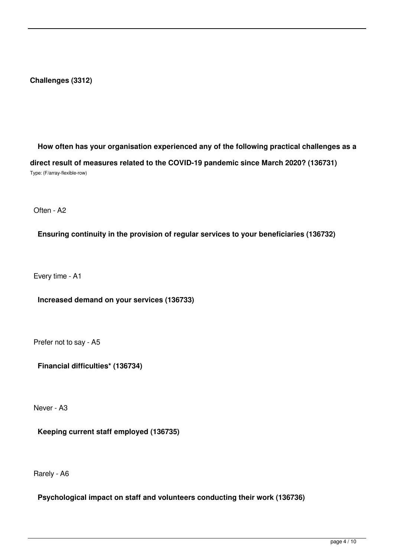#### **Challenges (3312)**

 **How often has your organisation experienced any of the following practical challenges as a direct result of measures related to the COVID-19 pandemic since March 2020? (136731)** Type: (F/array-flexible-row)

Often - A2

**Ensuring continuity in the provision of regular services to your beneficiaries (136732)**

Every time - A1

**Increased demand on your services (136733)**

Prefer not to say - A5

**Financial difficulties\* (136734)**

Never - A3

**Keeping current staff employed (136735)**

Rarely - A6

**Psychological impact on staff and volunteers conducting their work (136736)**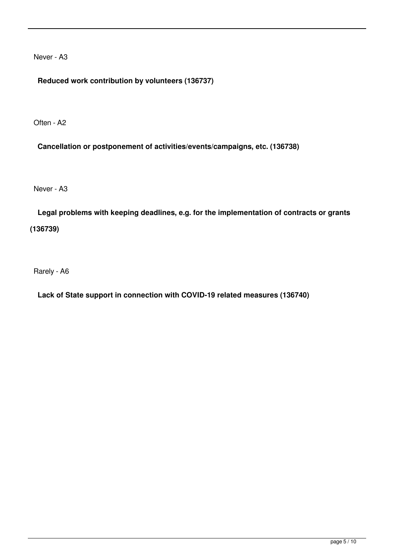Never - A3

**Reduced work contribution by volunteers (136737)**

Often - A2

**Cancellation or postponement of activities/events/campaigns, etc. (136738)**

Never - A3

 **Legal problems with keeping deadlines, e.g. for the implementation of contracts or grants (136739)**

Rarely - A6

**Lack of State support in connection with COVID-19 related measures (136740)**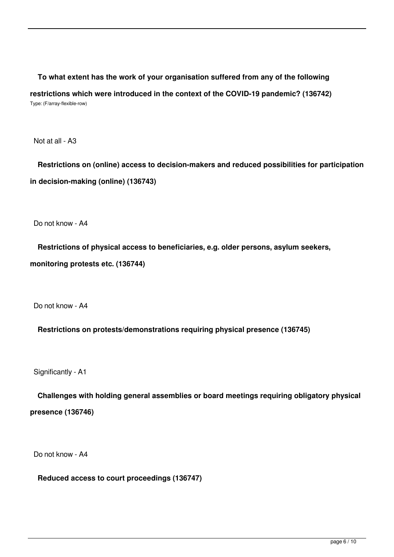**To what extent has the work of your organisation suffered from any of the following restrictions which were introduced in the context of the COVID-19 pandemic? (136742)** Type: (F/array-flexible-row)

Not at all - A3

 **Restrictions on (online) access to decision-makers and reduced possibilities for participation in decision-making (online) (136743)**

Do not know - A4

 **Restrictions of physical access to beneficiaries, e.g. older persons, asylum seekers, monitoring protests etc. (136744)**

Do not know - A4

**Restrictions on protests/demonstrations requiring physical presence (136745)**

Significantly - A1

 **Challenges with holding general assemblies or board meetings requiring obligatory physical presence (136746)**

Do not know - A4

**Reduced access to court proceedings (136747)**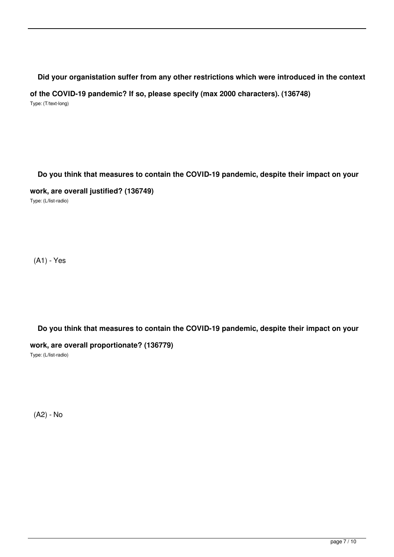#### **Did your organistation suffer from any other restrictions which were introduced in the context**

**of the COVID-19 pandemic? If so, please specify (max 2000 characters). (136748)**

Type: (T/text-long)

#### **Do you think that measures to contain the COVID-19 pandemic, despite their impact on your**

#### **work, are overall justified? (136749)**

Type: (L/list-radio)

(A1) - Yes

## **Do you think that measures to contain the COVID-19 pandemic, despite their impact on your**

## **work, are overall proportionate? (136779)**

Type: (L/list-radio)

(A2) - No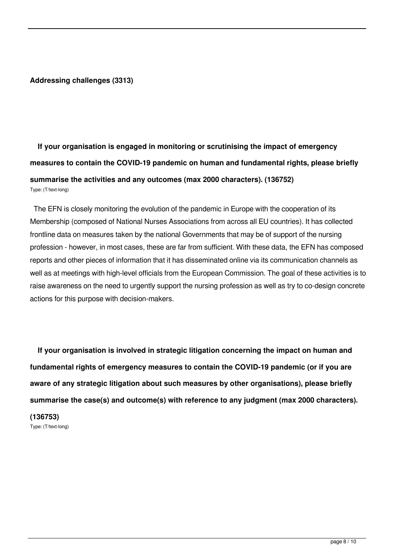#### **Addressing challenges (3313)**

# **If your organisation is engaged in monitoring or scrutinising the impact of emergency measures to contain the COVID-19 pandemic on human and fundamental rights, please briefly summarise the activities and any outcomes (max 2000 characters). (136752)** Type: (T/text-long)

 The EFN is closely monitoring the evolution of the pandemic in Europe with the cooperation of its Membership (composed of National Nurses Associations from across all EU countries). It has collected frontline data on measures taken by the national Governments that may be of support of the nursing profession - however, in most cases, these are far from sufficient. With these data, the EFN has composed reports and other pieces of information that it has disseminated online via its communication channels as well as at meetings with high-level officials from the European Commission. The goal of these activities is to raise awareness on the need to urgently support the nursing profession as well as try to co-design concrete actions for this purpose with decision-makers.

 **If your organisation is involved in strategic litigation concerning the impact on human and fundamental rights of emergency measures to contain the COVID-19 pandemic (or if you are aware of any strategic litigation about such measures by other organisations), please briefly summarise the case(s) and outcome(s) with reference to any judgment (max 2000 characters). (136753)** Type: (T/text-long)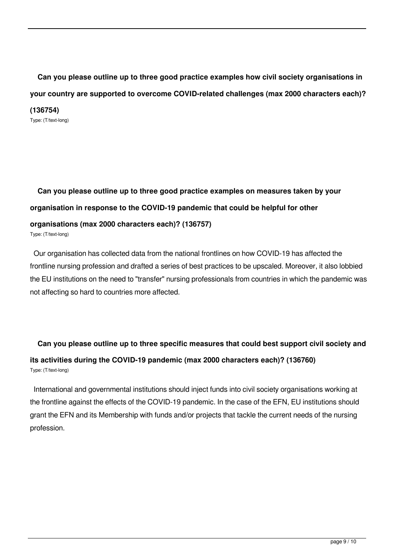**Can you please outline up to three good practice examples how civil society organisations in your country are supported to overcome COVID-related challenges (max 2000 characters each)?**

**(136754)** Type: (T/text-long)

# **Can you please outline up to three good practice examples on measures taken by your organisation in response to the COVID-19 pandemic that could be helpful for other organisations (max 2000 characters each)? (136757)**

Type: (T/text-long)

 Our organisation has collected data from the national frontlines on how COVID-19 has affected the frontline nursing profession and drafted a series of best practices to be upscaled. Moreover, it also lobbied the EU institutions on the need to "transfer" nursing professionals from countries in which the pandemic was not affecting so hard to countries more affected.

# **Can you please outline up to three specific measures that could best support civil society and its activities during the COVID-19 pandemic (max 2000 characters each)? (136760)** Type: (T/text-long)

 International and governmental institutions should inject funds into civil society organisations working at the frontline against the effects of the COVID-19 pandemic. In the case of the EFN, EU institutions should grant the EFN and its Membership with funds and/or projects that tackle the current needs of the nursing profession.